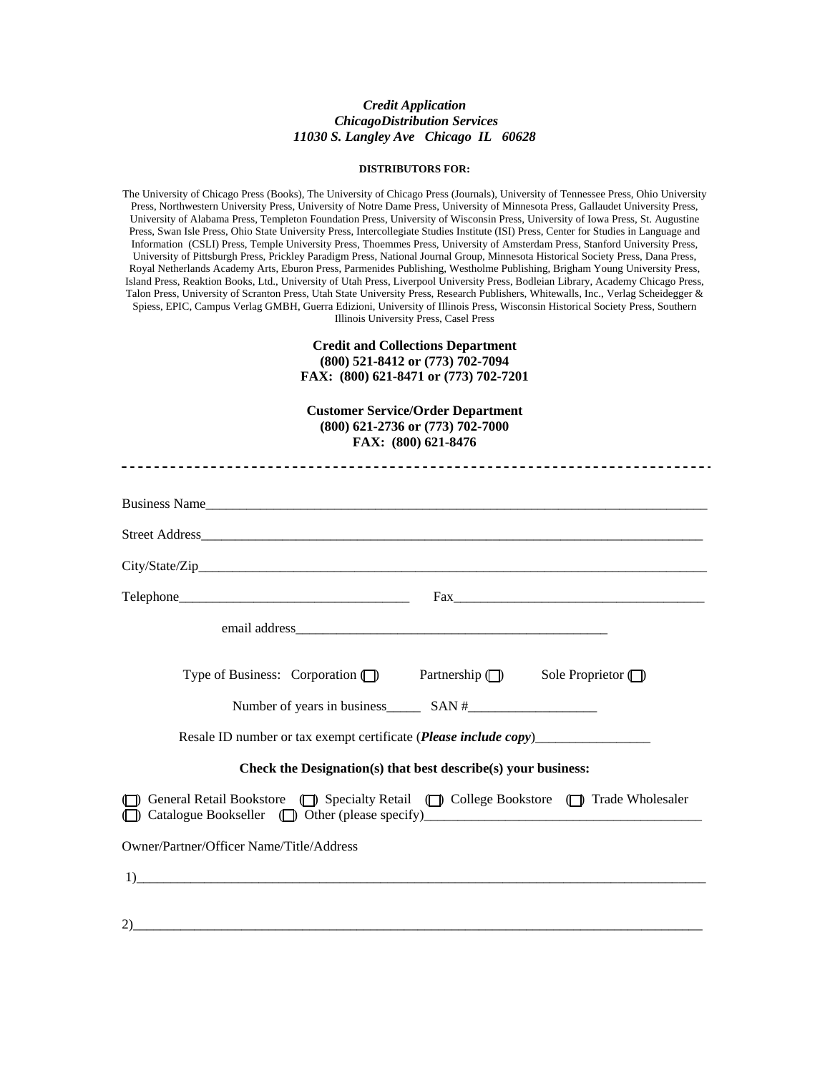### *Credit Application ChicagoDistribution Services 11030 S. Langley Ave Chicago IL 60628*

#### **DISTRIBUTORS FOR:**

The University of Chicago Press (Books), The University of Chicago Press (Journals), University of Tennessee Press, Ohio University Press, Northwestern University Press, University of Notre Dame Press, University of Minnesota Press, Gallaudet University Press, University of Alabama Press, Templeton Foundation Press, University of Wisconsin Press, University of Iowa Press, St. Augustine Press, Swan Isle Press, Ohio State University Press, Intercollegiate Studies Institute (ISI) Press, Center for Studies in Language and Information (CSLI) Press, Temple University Press, Thoemmes Press, University of Amsterdam Press, Stanford University Press, University of Pittsburgh Press, Prickley Paradigm Press, National Journal Group, Minnesota Historical Society Press, Dana Press, Royal Netherlands Academy Arts, Eburon Press, Parmenides Publishing, Westholme Publishing, Brigham Young University Press, Island Press, Reaktion Books, Ltd., University of Utah Press, Liverpool University Press, Bodleian Library, Academy Chicago Press, Talon Press, University of Scranton Press, Utah State University Press, Research Publishers, Whitewalls, Inc., Verlag Scheidegger & Spiess, EPIC, Campus Verlag GMBH, Guerra Edizioni, University of Illinois Press, Wisconsin Historical Society Press, Southern Illinois University Press, Casel Press

### **Credit and Collections Department (800) 521-8412 or (773) 702-7094 FAX: (800) 621-8471 or (773) 702-7201**

| <b>Customer Service/Order Department</b><br>(800) 621-2736 or (773) 702-7000<br>FAX: (800) 621-8476                                         |  |                        |  |
|---------------------------------------------------------------------------------------------------------------------------------------------|--|------------------------|--|
| Business Name                                                                                                                               |  |                        |  |
|                                                                                                                                             |  |                        |  |
|                                                                                                                                             |  |                        |  |
|                                                                                                                                             |  | $\text{Fax}$           |  |
|                                                                                                                                             |  |                        |  |
| Type of Business: Corporation $\Box$ Partnership $\Box$                                                                                     |  | Sole Proprietor $\Box$ |  |
|                                                                                                                                             |  |                        |  |
|                                                                                                                                             |  |                        |  |
| Check the Designation(s) that best describe(s) your business:                                                                               |  |                        |  |
| General Retail Bookstore (D) Specialty Retail (D) College Bookstore (D) Trade Wholesaler<br>Catalogue Bookseller (D) Other (please specify) |  |                        |  |
| Owner/Partner/Officer Name/Title/Address                                                                                                    |  |                        |  |
|                                                                                                                                             |  |                        |  |
| 2)                                                                                                                                          |  |                        |  |